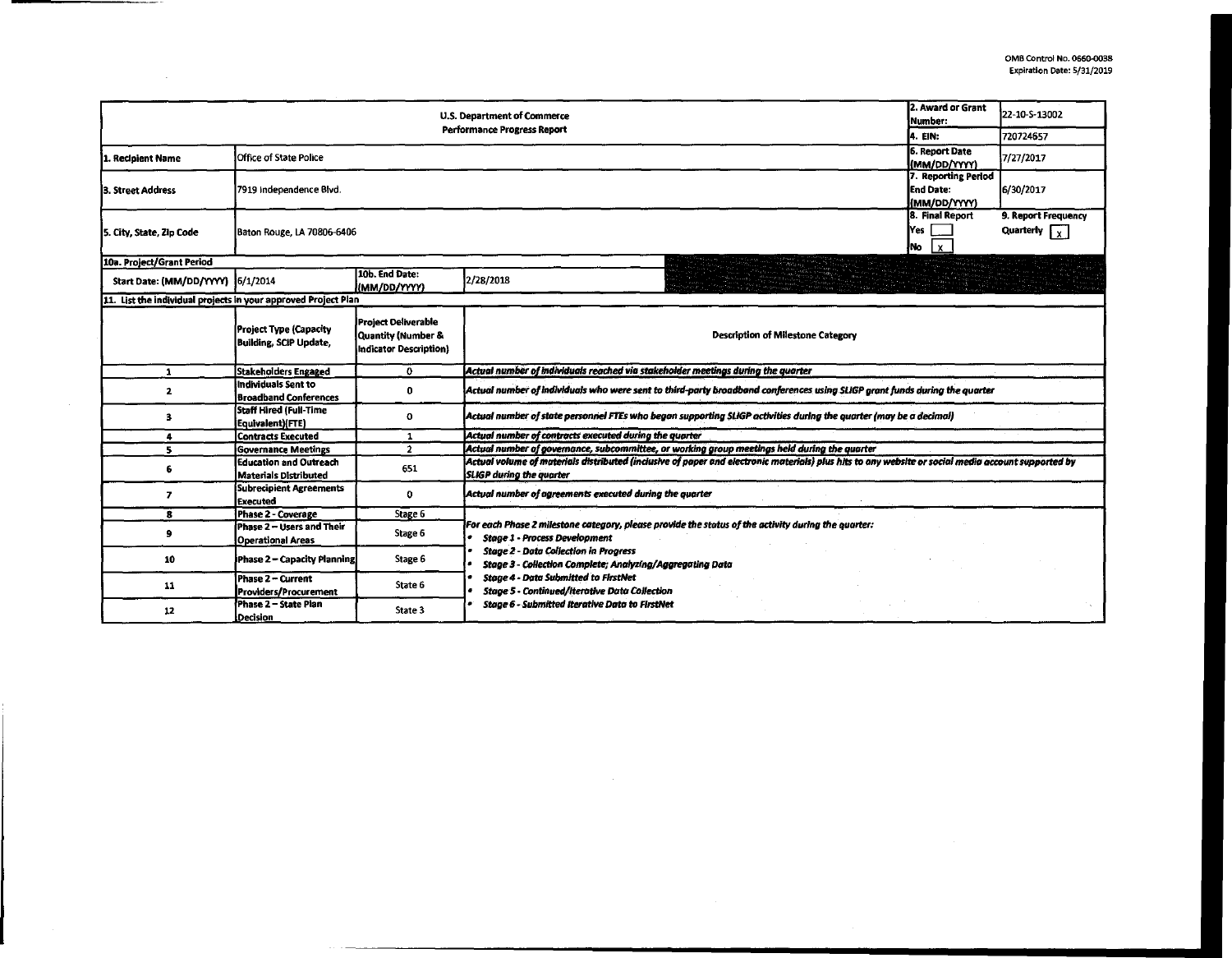|                                   | 2. Award or Grant<br>22-10-S-13002<br>Number:                 |                                                                     |                                                                                                                                                                                       |          |           |  |  |  |  |  |
|-----------------------------------|---------------------------------------------------------------|---------------------------------------------------------------------|---------------------------------------------------------------------------------------------------------------------------------------------------------------------------------------|----------|-----------|--|--|--|--|--|
|                                   |                                                               |                                                                     | Performance Progress Report                                                                                                                                                           | 14. EIN: | 720724657 |  |  |  |  |  |
| 1. Recipient Name                 | Office of State Police                                        | 6. Report Date<br>(MM/DD/YYYY)                                      | 7/27/2017                                                                                                                                                                             |          |           |  |  |  |  |  |
| 3. Street Address                 | 7919 Independence Blvd.                                       | 7. Reporting Period<br>lEnd Date:<br>(MM/DD/YYYY)                   |                                                                                                                                                                                       |          |           |  |  |  |  |  |
| 5. City, State, Zip Code          | Baton Rouge, LA 70806-6406                                    | 8. Final Report<br>lYes<br>ļNo<br>$\mathbf{x}$                      | 9. Report Frequency<br>Quarterly $\boxed{\phantom{x}}$                                                                                                                                |          |           |  |  |  |  |  |
| 10a. Project/Grant Period         |                                                               |                                                                     |                                                                                                                                                                                       |          |           |  |  |  |  |  |
| Start Date: (MM/DD/YYYY) 6/1/2014 |                                                               | 10b. End Date:<br>(MM/DD/YYYY)                                      | 2/28/2018                                                                                                                                                                             |          |           |  |  |  |  |  |
| 11.                               | List the individual projects in your approved Project Plan    |                                                                     |                                                                                                                                                                                       |          |           |  |  |  |  |  |
|                                   | Project Type (Capacity<br>Building, SCIP Update,              | Project Deliverable<br>Quantity (Number &<br>Indicator Description) | <b>Description of Milestone Category</b>                                                                                                                                              |          |           |  |  |  |  |  |
| 1                                 | <b>Stakeholders Engaged</b>                                   | $\mathbf{o}$                                                        | Actual number of individuals reached via stakeholder meetings during the quarter                                                                                                      |          |           |  |  |  |  |  |
| $\overline{\mathbf{2}}$           | Individuals Sent to<br><b>Broadband Conferences</b>           | 0                                                                   | Actual number of individuals who were sent to third-party broadband conferences using SLIGP grant funds during the quarter                                                            |          |           |  |  |  |  |  |
| 3                                 | Staff Hired (Full-Time<br>Equivalent)(FTE)                    | 0                                                                   | Actual number of state personnel FTEs who began supporting SLIGP activities during the quarter (may be a decimal)                                                                     |          |           |  |  |  |  |  |
| $\overline{\mathbf{a}}$           | <b>Contracts Executed</b>                                     | $\mathbf{1}$                                                        | Actual number of contracts executed during the quarter                                                                                                                                |          |           |  |  |  |  |  |
| 5.                                | <b>Governance Meetings</b>                                    | $\overline{2}$                                                      | Actual number of governance, subcommittee, or working group meetings held during the quarter                                                                                          |          |           |  |  |  |  |  |
| 6                                 | <b>Education and Outreach</b><br><b>Materials Distributed</b> | 651                                                                 | Actual volume of materials distributed (inclusive of paper and electronic materials) plus hits to any website or social media account supported by<br><b>SLIGP</b> during the quarter |          |           |  |  |  |  |  |
| $\overline{ }$                    | <b>Subrecipient Agreements</b><br><b>Executed</b>             | 0                                                                   | Actual number of agreements executed during the quarter                                                                                                                               |          |           |  |  |  |  |  |
| 8                                 | <b>Phase 2 - Coverage</b>                                     | Stage 6                                                             |                                                                                                                                                                                       |          |           |  |  |  |  |  |
| 9                                 | Phase 2 - Users and Their<br><b>Operational Areas</b>         | Stage 6                                                             | For each Phase 2 milestone category, please provide the status of the activity during the quarter:<br><b>Stage 1 - Process Development</b>                                            |          |           |  |  |  |  |  |
| 10                                | Phase 2 - Capacity Planning                                   | Stage 6                                                             | <b>Stage 2 - Data Collection in Progress</b><br>Stage 3 - Collection Complete; Analyzing/Aggregating Data                                                                             |          |           |  |  |  |  |  |
| 11                                | Phase 2 - Current<br>Providers/Procurement                    | State 6                                                             | <b>Stage 4 - Data Submitted to FirstNet</b><br><b>Stage 5 - Continued/Iterative Data Collection</b>                                                                                   |          |           |  |  |  |  |  |
| 12                                | Phase 2 - State Plan<br>Decision                              | State 3                                                             | <b>Stage 6 - Submitted Iterative Data to FirstNet</b>                                                                                                                                 |          |           |  |  |  |  |  |

 $\sim 10^{-1}$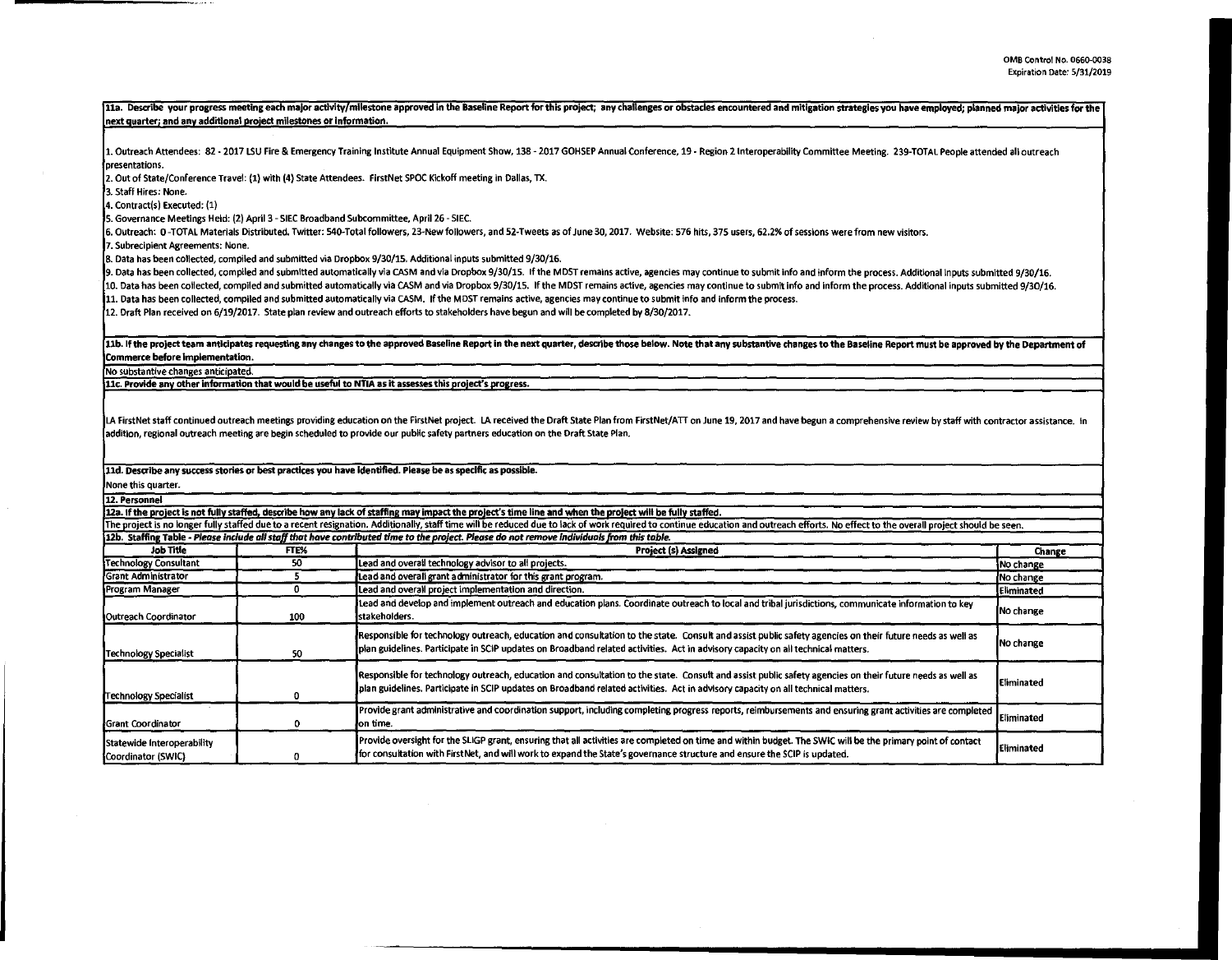11a. Describe your progress meeting each major activity/milestone approved in the Baseline Report for this project; any challenges or obstacles encountered and mitigation strategles you have employed; planned major activit next auarter: and anv additional oroiect milestones or Information. 1. Outreach Attendees: 82 - 2017 LSU Fire & Emergency Training Institute Annual Equipment Show, 138 - 2017 GOHSEP Annual Conference, 19 - Region 2 Interoperability Committee Meeting. 239-TOTAL People attended all outreach presentations. 2. Out of State/Conference Travel: (1) with {4) State Attendees. FirstNet SPOC Kickoff meeting in Dallas, TX. 3. Staff Hires: None. 4. Contract(s) Executed: {1) s. Governance Meetings Held: (2) April 3 - SIEC Broadband Subcommittee, April 26 - SIEC. 6. Outreach: 0-TOTAL Materials Distributed. Twitter: 540-Total followers, 23-Newfollowers, and 52-Tweets as of June 30, 2017. Website: 576 hits, 375 users, 62.2% of sessions were from new visitors. 7. Subrecipient Agreements: None. 8. Data has been collected, compiled and submitted via Dropbox 9/30/15. Additional inputs submitted 9/30/16. 9. Data has been collected, compiled and submitted automatically via CASM and via Dropbox 9/30/15. If the MOST remains active, agencies may continue to submit info and inform the process. Additional Inputs submitted 9/30/16. 10. Data has been collected, compiled and submitted automatically via CASM and via Dropbox 9/30/15. If the MDST remains active, agencies may continue to submit info and inform the process. Additional inputs submitted 9/30/ 11. Data has been collected, compiled and submitted automatically via CASM. If the MOST remains active, agencies may continue to submit info and inform the process. 12. Draft Plan received on 6/19/2017. State plan review and outreach efforts to stakeholders have begun and will be completed by 8/30/2017. 11b. If the project team anticipates requesting any changes to the approved Baseline Report in the next quarter, describe those below. Note that any substantive changes to the Baseline Report must be approved by the Depart Commerce before implementation. No substantive changes anticipated. 11c. Provide any other information that would be useful to NTIA as it assesses this project's progress. LA FirstNet staff continued outreach meetings providing education on the FirstNet project. LA received the Draft State Plan from FirstNet/ATT on June 19, 2017 and have begun a comprehensive review by staff with contractor addition, regional outreach meeting are begin scheduled to provide our public safety partners education on the Draft State Plan. 11d. Describe any success stories or best practices you have identified. Please be as specific as possible. None this quarter. 12. Personnel 12a. If the project is not fully staffed, describe how any lack of staffing may impact the project's time line and when the project will be fully staffed. The project is no longer fully staffed due to a recent resignation. Additionally, staff time will be reduced due to lack of work required to continue education and outreach efforts. No effect to the overall project should 12b. Staffing Table - Please include all staff that have contributed time to the project. Please do not remove Individuals from this table. Job Title **FTE% | Change** Change Change Change Change Change Change Change Change Change Change Change Change Change Technology Consultant 50 Lead and overall technology advisor to all projects. Grant Administrator **1 1999 5 Lead and overall grant administrator for this grant program. No change in the change of the change of the change of the change of the change of the change of the change of the change of** Program Manager **1986 Contract Contract Contract Contract** Lead and overall project implementation and direction. **Lead and develop and implement outreach and education plans. Coordinate outreach to local and tribal jurisdictions, communicate information to key No change Outreach Coordinator 100 stakeholders.** Responsible for technology outreach, education and consultation to the state. Consult and assist public safety agencies on their future needs as well as No change Technology Specialist **1980** 50 plan guidelines. Participate in SCIP updates on Broadband related activities. Act in advisory capacity on all technical matters. Responsible for technology outreach, education and consultation to the state. Consult and assist public safety agencies on their future needs as well as Eliminated Technology Specialist **1.0 plan guidelines. Participate in SCIP** updates on Broadband related activities. Act in advisory capacity on all technical matters. Provide grant administrative and coordination support, including completing progress reports, reimbursements and ensuring grant activities are completed Eliminated on time. Statewide Interoperability Provide oversight for the SLIGP grant, ensuring that all activities are completed on time and within budget. The SWIC will be the primary point of contact [Eliminated]<br>Coordinator (SWIC) contact for consultation with FirstNet, and will work to expand the State's governance structure and ensure the SCIP is updated.